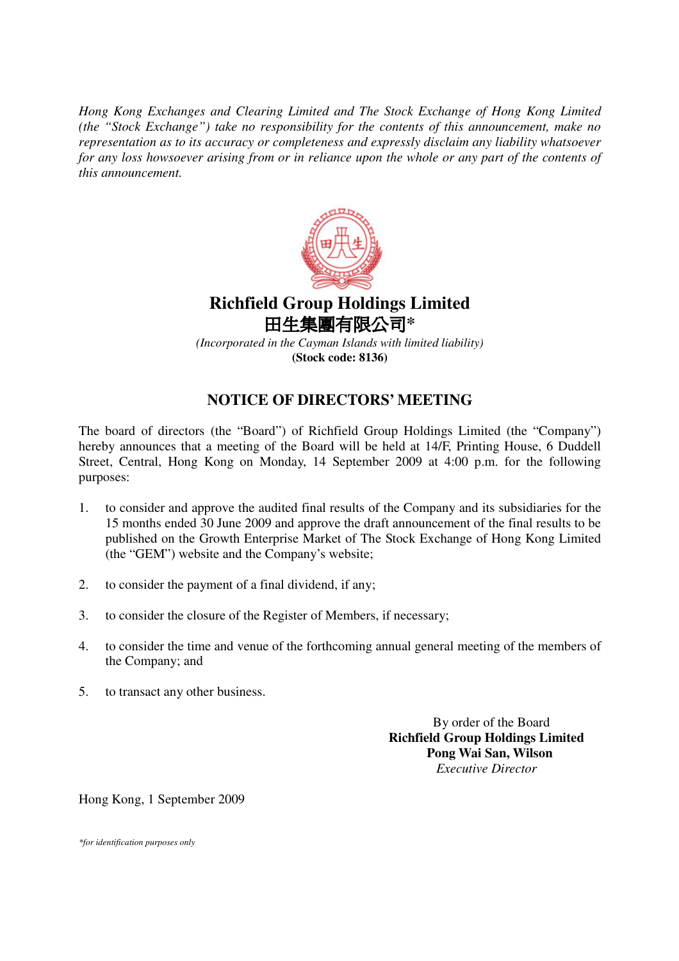*Hong Kong Exchanges and Clearing Limited and The Stock Exchange of Hong Kong Limited (the "Stock Exchange") take no responsibility for the contents of this announcement, make no representation as to its accuracy or completeness and expressly disclaim any liability whatsoever* for any loss howsoever arising from or in reliance upon the whole or any part of the contents of *this announcement.*



## **Richfield Group Holdings Limited** 田生**集團有限公司\***

*(Incorporated in the Cayman Islands with limited liability)* **(Stock code: 8136)**

## **NOTICE OF DIRECTORS' MEETING**

The board of directors (the "Board") of Richfield Group Holdings Limited (the "Company") hereby announces that a meeting of the Board will be held at 14/F, Printing House, 6 Duddell Street, Central, Hong Kong on Monday, 14 September 2009 at 4:00 p.m. for the following purposes:

- 1. to consider and approve the audited final results of the Company and its subsidiaries for the 15 months ended 30 June 2009 and approve the draft announcement of the final results to be published on the Growth Enterprise Market of The Stock Exchange of Hong Kong Limited (the "GEM") website and the Company's website;
- 2. to consider the payment of a final dividend, if any;
- 3. to consider the closure of the Register of Members, if necessary;
- 4. to consider the time and venue of the forthcoming annual general meeting of the members of the Company; and
- 5. to transact any other business.

By order of the Board **Richfield Group Holdings Limited Pong Wai San, Wilson** *Executive Director*

Hong Kong, 1 September 2009

*\*for identification purposes only*